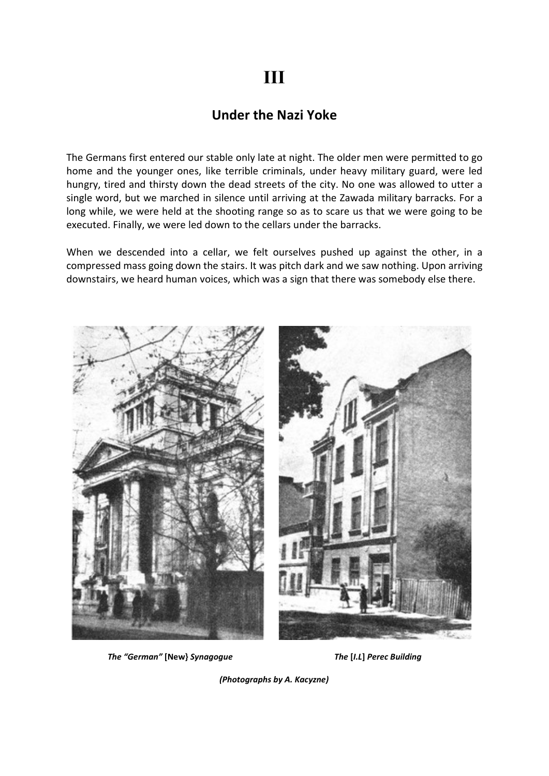## III

## Under the Nazi Yoke

The Germans first entered our stable only late at night. The older men were permitted to go home and the younger ones, like terrible criminals, under heavy military guard, were led hungry, tired and thirsty down the dead streets of the city. No one was allowed to utter a single word, but we marched in silence until arriving at the Zawada military barracks. For a long while, we were held at the shooting range so as to scare us that we were going to be executed. Finally, we were led down to the cellars under the barracks.

When we descended into a cellar, we felt ourselves pushed up against the other, in a compressed mass going down the stairs. It was pitch dark and we saw nothing. Upon arriving downstairs, we heard human voices, which was a sign that there was somebody else there.



The "German" [New} Synagogue The [I.L] Perec Building

(Photographs by A. Kacyzne)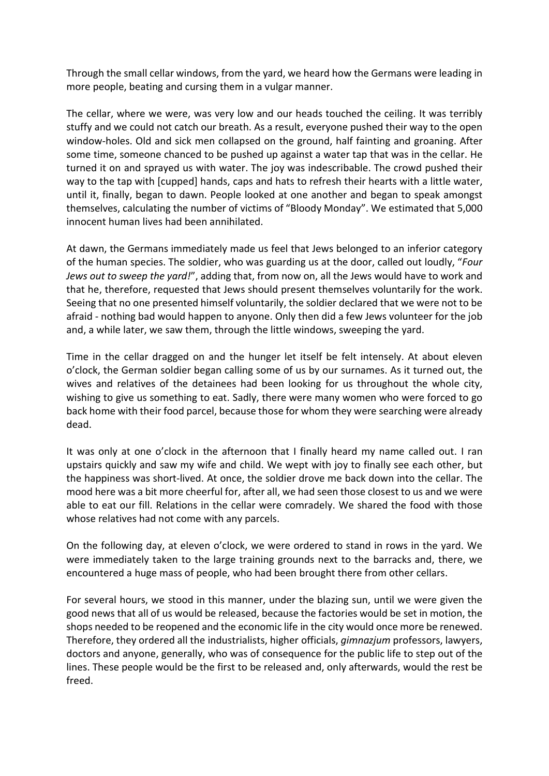Through the small cellar windows, from the yard, we heard how the Germans were leading in more people, beating and cursing them in a vulgar manner.

The cellar, where we were, was very low and our heads touched the ceiling. It was terribly stuffy and we could not catch our breath. As a result, everyone pushed their way to the open window-holes. Old and sick men collapsed on the ground, half fainting and groaning. After some time, someone chanced to be pushed up against a water tap that was in the cellar. He turned it on and sprayed us with water. The joy was indescribable. The crowd pushed their way to the tap with [cupped] hands, caps and hats to refresh their hearts with a little water, until it, finally, began to dawn. People looked at one another and began to speak amongst themselves, calculating the number of victims of "Bloody Monday". We estimated that 5,000 innocent human lives had been annihilated.

At dawn, the Germans immediately made us feel that Jews belonged to an inferior category of the human species. The soldier, who was guarding us at the door, called out loudly, "Four Jews out to sweep the yard!", adding that, from now on, all the Jews would have to work and that he, therefore, requested that Jews should present themselves voluntarily for the work. Seeing that no one presented himself voluntarily, the soldier declared that we were not to be afraid - nothing bad would happen to anyone. Only then did a few Jews volunteer for the job and, a while later, we saw them, through the little windows, sweeping the yard.

Time in the cellar dragged on and the hunger let itself be felt intensely. At about eleven o'clock, the German soldier began calling some of us by our surnames. As it turned out, the wives and relatives of the detainees had been looking for us throughout the whole city, wishing to give us something to eat. Sadly, there were many women who were forced to go back home with their food parcel, because those for whom they were searching were already dead.

It was only at one o'clock in the afternoon that I finally heard my name called out. I ran upstairs quickly and saw my wife and child. We wept with joy to finally see each other, but the happiness was short-lived. At once, the soldier drove me back down into the cellar. The mood here was a bit more cheerful for, after all, we had seen those closest to us and we were able to eat our fill. Relations in the cellar were comradely. We shared the food with those whose relatives had not come with any parcels.

On the following day, at eleven o'clock, we were ordered to stand in rows in the yard. We were immediately taken to the large training grounds next to the barracks and, there, we encountered a huge mass of people, who had been brought there from other cellars.

For several hours, we stood in this manner, under the blazing sun, until we were given the good news that all of us would be released, because the factories would be set in motion, the shops needed to be reopened and the economic life in the city would once more be renewed. Therefore, they ordered all the industrialists, higher officials, gimnazjum professors, lawyers, doctors and anyone, generally, who was of consequence for the public life to step out of the lines. These people would be the first to be released and, only afterwards, would the rest be freed.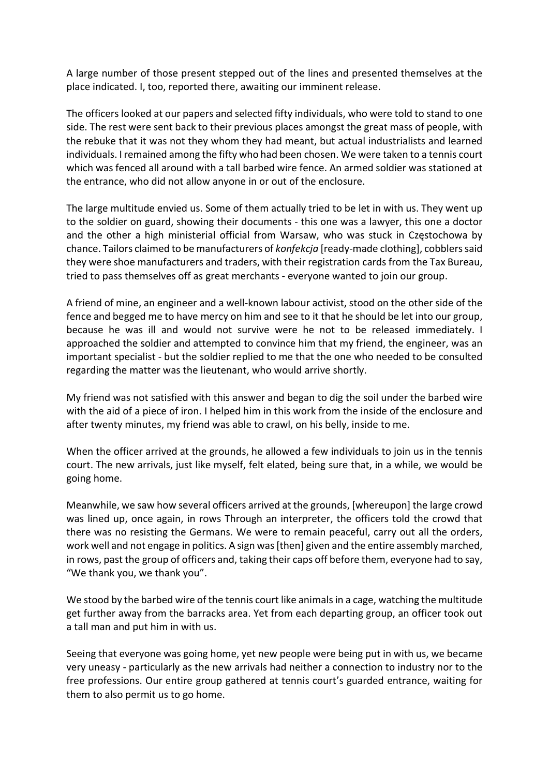A large number of those present stepped out of the lines and presented themselves at the place indicated. I, too, reported there, awaiting our imminent release.

The officers looked at our papers and selected fifty individuals, who were told to stand to one side. The rest were sent back to their previous places amongst the great mass of people, with the rebuke that it was not they whom they had meant, but actual industrialists and learned individuals. I remained among the fifty who had been chosen. We were taken to a tennis court which was fenced all around with a tall barbed wire fence. An armed soldier was stationed at the entrance, who did not allow anyone in or out of the enclosure.

The large multitude envied us. Some of them actually tried to be let in with us. They went up to the soldier on guard, showing their documents - this one was a lawyer, this one a doctor and the other a high ministerial official from Warsaw, who was stuck in Częstochowa by chance. Tailors claimed to be manufacturers of konfekcja [ready-made clothing], cobblers said they were shoe manufacturers and traders, with their registration cards from the Tax Bureau, tried to pass themselves off as great merchants - everyone wanted to join our group.

A friend of mine, an engineer and a well-known labour activist, stood on the other side of the fence and begged me to have mercy on him and see to it that he should be let into our group, because he was ill and would not survive were he not to be released immediately. I approached the soldier and attempted to convince him that my friend, the engineer, was an important specialist - but the soldier replied to me that the one who needed to be consulted regarding the matter was the lieutenant, who would arrive shortly.

My friend was not satisfied with this answer and began to dig the soil under the barbed wire with the aid of a piece of iron. I helped him in this work from the inside of the enclosure and after twenty minutes, my friend was able to crawl, on his belly, inside to me.

When the officer arrived at the grounds, he allowed a few individuals to join us in the tennis court. The new arrivals, just like myself, felt elated, being sure that, in a while, we would be going home.

Meanwhile, we saw how several officers arrived at the grounds, [whereupon] the large crowd was lined up, once again, in rows Through an interpreter, the officers told the crowd that there was no resisting the Germans. We were to remain peaceful, carry out all the orders, work well and not engage in politics. A sign was [then] given and the entire assembly marched, in rows, past the group of officers and, taking their caps off before them, everyone had to say, "We thank you, we thank you".

We stood by the barbed wire of the tennis court like animals in a cage, watching the multitude get further away from the barracks area. Yet from each departing group, an officer took out a tall man and put him in with us.

Seeing that everyone was going home, yet new people were being put in with us, we became very uneasy - particularly as the new arrivals had neither a connection to industry nor to the free professions. Our entire group gathered at tennis court's guarded entrance, waiting for them to also permit us to go home.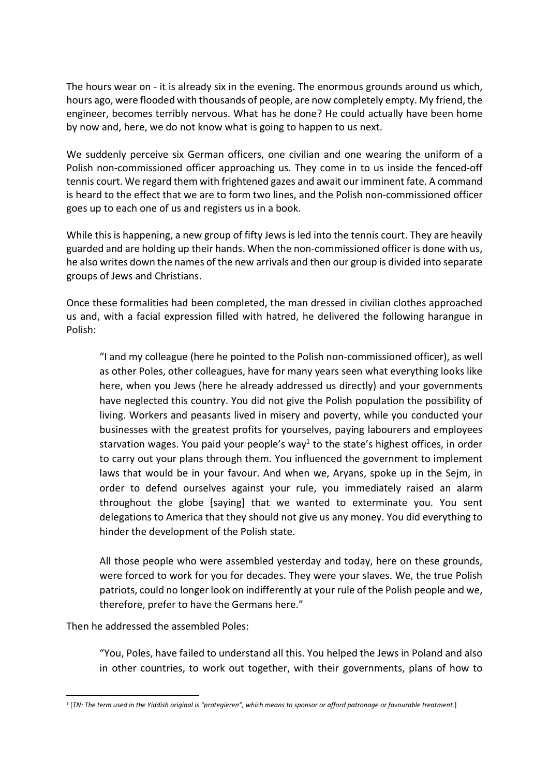The hours wear on - it is already six in the evening. The enormous grounds around us which, hours ago, were flooded with thousands of people, are now completely empty. My friend, the engineer, becomes terribly nervous. What has he done? He could actually have been home by now and, here, we do not know what is going to happen to us next.

We suddenly perceive six German officers, one civilian and one wearing the uniform of a Polish non-commissioned officer approaching us. They come in to us inside the fenced-off tennis court. We regard them with frightened gazes and await our imminent fate. A command is heard to the effect that we are to form two lines, and the Polish non-commissioned officer goes up to each one of us and registers us in a book.

While this is happening, a new group of fifty Jews is led into the tennis court. They are heavily guarded and are holding up their hands. When the non-commissioned officer is done with us, he also writes down the names of the new arrivals and then our group is divided into separate groups of Jews and Christians.

Once these formalities had been completed, the man dressed in civilian clothes approached us and, with a facial expression filled with hatred, he delivered the following harangue in Polish:

"I and my colleague (here he pointed to the Polish non-commissioned officer), as well as other Poles, other colleagues, have for many years seen what everything looks like here, when you Jews (here he already addressed us directly) and your governments have neglected this country. You did not give the Polish population the possibility of living. Workers and peasants lived in misery and poverty, while you conducted your businesses with the greatest profits for yourselves, paying labourers and employees starvation wages. You paid your people's way<sup>1</sup> to the state's highest offices, in order to carry out your plans through them. You influenced the government to implement laws that would be in your favour. And when we, Aryans, spoke up in the Sejm, in order to defend ourselves against your rule, you immediately raised an alarm throughout the globe [saying] that we wanted to exterminate you. You sent delegations to America that they should not give us any money. You did everything to hinder the development of the Polish state.

All those people who were assembled yesterday and today, here on these grounds, were forced to work for you for decades. They were your slaves. We, the true Polish patriots, could no longer look on indifferently at your rule of the Polish people and we, therefore, prefer to have the Germans here."

Then he addressed the assembled Poles:

"You, Poles, have failed to understand all this. You helped the Jews in Poland and also in other countries, to work out together, with their governments, plans of how to

<sup>1</sup> [TN: The term used in the Yiddish original is "protegieren", which means to sponsor or afford patronage or favourable treatment.]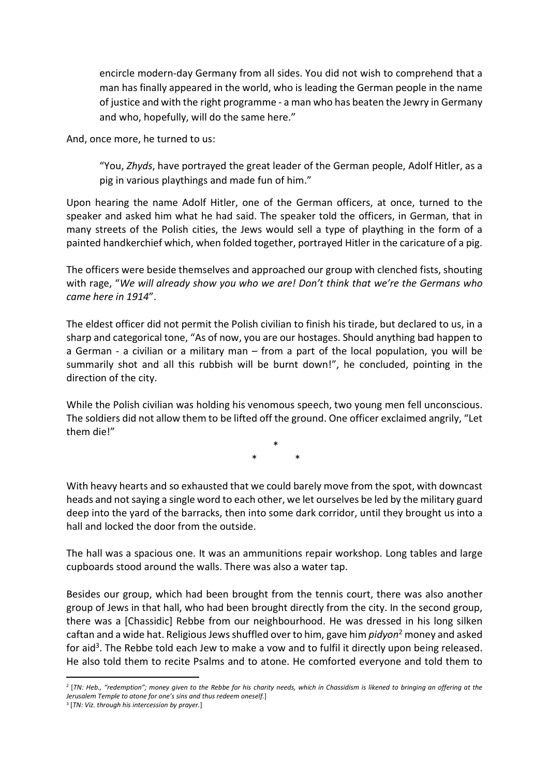encircle modern-day Germany from all sides. You did not wish to comprehend that a man has finally appeared in the world, who is leading the German people in the name of justice and with the right programme - a man who has beaten the Jewry in Germany and who, hopefully, will do the same here."

And, once more, he turned to us:

"You, Zhyds, have portrayed the great leader of the German people, Adolf Hitler, as a pig in various playthings and made fun of him."

Upon hearing the name Adolf Hitler, one of the German officers, at once, turned to the speaker and asked him what he had said. The speaker told the officers, in German, that in many streets of the Polish cities, the Jews would sell a type of plaything in the form of a painted handkerchief which, when folded together, portrayed Hitler in the caricature of a pig.

The officers were beside themselves and approached our group with clenched fists, shouting with rage, "We will already show you who we are! Don't think that we're the Germans who came here in 1914".

The eldest officer did not permit the Polish civilian to finish his tirade, but declared to us, in a sharp and categorical tone, "As of now, you are our hostages. Should anything bad happen to a German - a civilian or a military man – from a part of the local population, you will be summarily shot and all this rubbish will be burnt down!", he concluded, pointing in the direction of the city.

While the Polish civilian was holding his venomous speech, two young men fell unconscious. The soldiers did not allow them to be lifted off the ground. One officer exclaimed angrily, "Let them die!"

> $\star$  $*$  \*

With heavy hearts and so exhausted that we could barely move from the spot, with downcast heads and not saying a single word to each other, we let ourselves be led by the military guard deep into the yard of the barracks, then into some dark corridor, until they brought us into a hall and locked the door from the outside.

The hall was a spacious one. It was an ammunitions repair workshop. Long tables and large cupboards stood around the walls. There was also a water tap.

Besides our group, which had been brought from the tennis court, there was also another group of Jews in that hall, who had been brought directly from the city. In the second group, there was a [Chassidic] Rebbe from our neighbourhood. He was dressed in his long silken caftan and a wide hat. Religious Jews shuffled over to him, gave him *pidyon*<sup>2</sup> money and asked for aid<sup>3</sup>. The Rebbe told each Jew to make a vow and to fulfil it directly upon being released. He also told them to recite Psalms and to atone. He comforted everyone and told them to

<sup>2</sup> [TN: Heb., "redemption"; money given to the Rebbe for his charity needs, which in Chassidism is likened to bringing an offering at the Jerusalem Temple to atone for one's sins and thus redeem oneself.]

<sup>&</sup>lt;sup>3</sup> [TN: Viz. through his intercession by prayer.]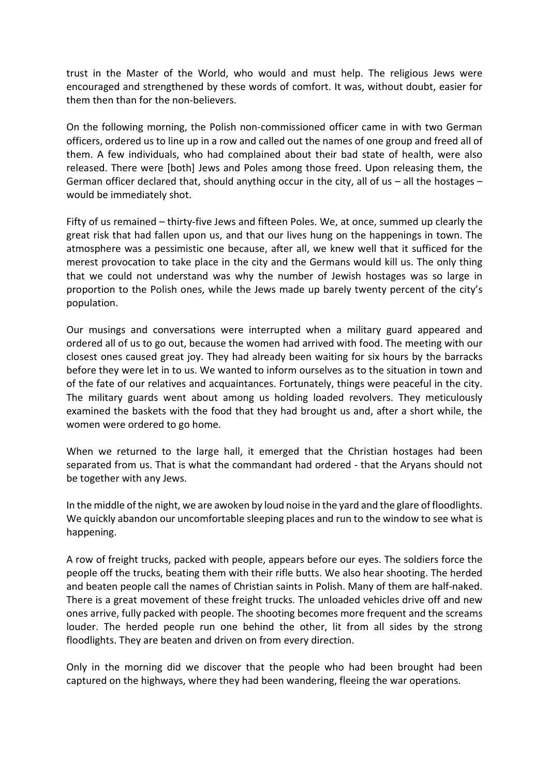trust in the Master of the World, who would and must help. The religious Jews were encouraged and strengthened by these words of comfort. It was, without doubt, easier for them then than for the non-believers.

On the following morning, the Polish non-commissioned officer came in with two German officers, ordered us to line up in a row and called out the names of one group and freed all of them. A few individuals, who had complained about their bad state of health, were also released. There were [both] Jews and Poles among those freed. Upon releasing them, the German officer declared that, should anything occur in the city, all of us  $-$  all the hostages  $$ would be immediately shot.

Fifty of us remained – thirty-five Jews and fifteen Poles. We, at once, summed up clearly the great risk that had fallen upon us, and that our lives hung on the happenings in town. The atmosphere was a pessimistic one because, after all, we knew well that it sufficed for the merest provocation to take place in the city and the Germans would kill us. The only thing that we could not understand was why the number of Jewish hostages was so large in proportion to the Polish ones, while the Jews made up barely twenty percent of the city's population.

Our musings and conversations were interrupted when a military guard appeared and ordered all of us to go out, because the women had arrived with food. The meeting with our closest ones caused great joy. They had already been waiting for six hours by the barracks before they were let in to us. We wanted to inform ourselves as to the situation in town and of the fate of our relatives and acquaintances. Fortunately, things were peaceful in the city. The military guards went about among us holding loaded revolvers. They meticulously examined the baskets with the food that they had brought us and, after a short while, the women were ordered to go home.

When we returned to the large hall, it emerged that the Christian hostages had been separated from us. That is what the commandant had ordered - that the Aryans should not be together with any Jews.

In the middle of the night, we are awoken by loud noise in the yard and the glare of floodlights. We quickly abandon our uncomfortable sleeping places and run to the window to see what is happening.

A row of freight trucks, packed with people, appears before our eyes. The soldiers force the people off the trucks, beating them with their rifle butts. We also hear shooting. The herded and beaten people call the names of Christian saints in Polish. Many of them are half-naked. There is a great movement of these freight trucks. The unloaded vehicles drive off and new ones arrive, fully packed with people. The shooting becomes more frequent and the screams louder. The herded people run one behind the other, lit from all sides by the strong floodlights. They are beaten and driven on from every direction.

Only in the morning did we discover that the people who had been brought had been captured on the highways, where they had been wandering, fleeing the war operations.